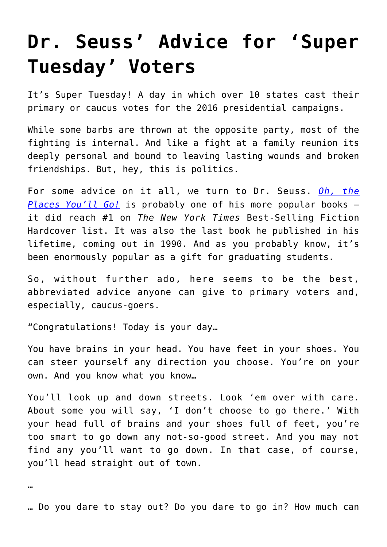## **[Dr. Seuss' Advice for 'Super](https://intellectualtakeout.org/2016/03/dr-seuss-advice-for-super-tuesday-voters/) [Tuesday' Voters](https://intellectualtakeout.org/2016/03/dr-seuss-advice-for-super-tuesday-voters/)**

It's Super Tuesday! A day in which over 10 states cast their primary or caucus votes for the 2016 presidential campaigns.

While some barbs are thrown at the opposite party, most of the fighting is internal. And like a fight at a family reunion its deeply personal and bound to leaving lasting wounds and broken friendships. But, hey, this is politics.

For some advice on it all, we turn to Dr. Seuss. *[Oh, the](http://www.ncra.org/files/mcms/f54dbcd1-4e78-47b1-916c-c73d66200335.pdf) [Places You'll Go!](http://www.ncra.org/files/mcms/f54dbcd1-4e78-47b1-916c-c73d66200335.pdf)* is probably one of his more popular books – it did reach #1 on *The New York Times* Best-Selling Fiction Hardcover list. It was also the last book he published in his lifetime, coming out in 1990. And as you probably know, it's been enormously popular as a gift for graduating students.

So, without further ado, here seems to be the best, abbreviated advice anyone can give to primary voters and, especially, caucus-goers.

"Congratulations! Today is your day…

You have brains in your head. You have feet in your shoes. You can steer yourself any direction you choose. You're on your own. And you know what you know…

You'll look up and down streets. Look 'em over with care. About some you will say, 'I don't choose to go there.' With your head full of brains and your shoes full of feet, you're too smart to go down any not-so-good street. And you may not find any you'll want to go down. In that case, of course, you'll head straight out of town.

…

… Do you dare to stay out? Do you dare to go in? How much can